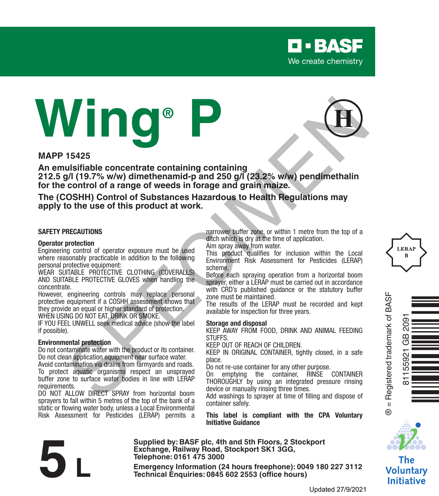

# **Wing® P**



#### **MAPP 15425**

**An emulsifiable concentrate containing containing 212.5 g/l (19.7% w/w) dimethenamid-p and 250 g/l (23.2% w/w) pendimethalin for the control of a range of weeds in forage and grain maize. 15425**<br>
15425<br>
15425<br>
15436 Lusifiable concentrate containing containing<br>
2011 (19.7% wiw) dimethenantide particle and 250 g/l (23.2% wiw) pendimethaling<br>
COSHH) Control of a range of weeds in forage and grain maize.<br>
The

**The (COSHH) Control of Substances Hazardous to Health Regulations may apply to the use of this product at work.**

#### **SAFETY PRECAUTIONS**

#### **Operator protection**

Engineering control of operator exposure must be used where reasonably practicable in addition to the following personal protective equipment:

WEAR SUITABLE PROTECTIVE CLOTHING (COVERALLS) AND SUITABLE PROTECTIVE GLOVES when handling the concentrate.

However, engineering controls may replace personal protective equipment if a COSHH assessment shows that they provide an equal or higher standard of protection. WHEN USING DO NOT EAT, DRINK OR SMOKE.

IF YOU FEEL UNWELL seek medical advice (show the label if possible).

#### **Environmental protection**

Do not contaminate water with the product or its container. Do not clean application equipment near surface water.

Avoid contamination via drains from farmyards and roads. To protect aquatic organisms respect an unsprayed buffer zone to surface water bodies in line with LERAP requirements.

DO NOT ALLOW DIRECT SPRAY from horizontal boom sprayers to fall within 5 metres of the top of the bank of a static or flowing water body, unless a Local Environmental Risk Assessment for Pesticides (LERAP) permits a narrower buffer zone, or within 1 metre from the top of a ditch which is dry at the time of application.

Aim spray away from water.

This product qualifies for inclusion within the Local Environment Risk Assessment for Pesticides (LERAP) scheme.

Before each spraying operation from a horizontal boom sprayer, either a LERAP must be carried out in accordance with CRD's published quidance or the statutory buffer zone must be maintained.

The results of the LERAP must be recorded and kept available for inspection for three years.

#### **Storage and disposal**

KEEP AWAY FROM FOOD, DRINK AND ANIMAL FEEDING **STUFFS** 

KEEP OUT OF REACH OF CHILDREN.

KEEP IN ORIGINAL CONTAINER, tightly closed, in a safe place.

Do not re-use container for any other purpose.

On emptying the container, RINSE CONTAINER THOROUGHLY by using an integrated pressure rinsing device or manually rinsing three times.

Add washings to sprayer at time of filling and dispose of container safely.

**This label is compliant with the CPA Voluntary Initiative Guidance**



**Supplied by: BASF plc, 4th and 5th Floors, 2 Stockport Exchange, Railway Road, Stockport SK1 3GG, Telephone: 0161 475 3000** Exchange, Rallway Road, Stockport SK1 3GG,<br>
Telephone: 0161 475 3000<br>
Emergency Information (24 hours freephone): 0049 180 227 3112<br>
Technical Enquiries: 0845 602 2553 (office hours)<br>
Updated 27/9/202





® = Registered trademark of BASF

 $\overline{\mathbf{u}}$  $^{\circ}$ 

Registered trademark of BASI

 $\mathbf{H}$ 



The **Voluntary Initiative**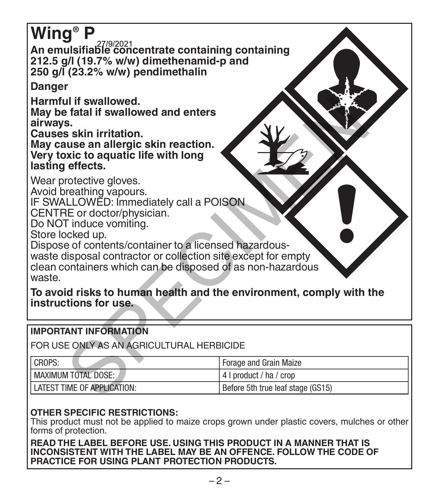# **Wing® P**

**An emulsifiable concentrate containing containing**  27/9/2021 **212.5 g/l (19.7% w/w) dimethenamid-p and 250 g/l (23.2% w/w) pendimethalin**

**Danger**

**Harmful if swallowed.**

#### **IMPORTANT INFORMATION**

| Harmful if swallowed.<br>May be fatal if swallowed and enters<br>airways.<br>Causes skin irritation.<br>May cause an allergic skin reaction.<br>Very toxic to aquatic life with long<br>lasting effects.                                                                                                                                                                        |                                   |
|---------------------------------------------------------------------------------------------------------------------------------------------------------------------------------------------------------------------------------------------------------------------------------------------------------------------------------------------------------------------------------|-----------------------------------|
| Wear protective gloves.<br>Avoid breathing vapours.<br>IF SWALLOWED: Immediately call a POISON<br>CENTRE or doctor/physician.<br>Do NOT induce vomiting.<br>Store locked up.<br>Dispose of contents/container to a licensed hazardous-<br>waste disposal contractor or collection site except for empty<br>clean containers which can be disposed of as non-hazardous<br>waste. |                                   |
| To avoid risks to human health and the environment, comply with the<br>instructions for use.                                                                                                                                                                                                                                                                                    |                                   |
| <b>IMPORTANT INFORMATION</b>                                                                                                                                                                                                                                                                                                                                                    |                                   |
| FOR USE ONLY AS AN AGRICULTURAL HERBICIDE                                                                                                                                                                                                                                                                                                                                       |                                   |
| CROPS:                                                                                                                                                                                                                                                                                                                                                                          | Forage and Grain Maize            |
| <b>MAXIMUM TOTAL DOSE:</b>                                                                                                                                                                                                                                                                                                                                                      | 4   product / ha / crop           |
| LATEST TIME OF APPLICATION:                                                                                                                                                                                                                                                                                                                                                     | Before 5th true leaf stage (GS15) |
|                                                                                                                                                                                                                                                                                                                                                                                 |                                   |

# **OTHER SPECIFIC RESTRICTIONS:**

This product must not be applied to maize crops grown under plastic covers, mulches or other forms of protection.

**READ THE LABEL BEFORE USE. USING THIS PRODUCT IN A MANNER THAT IS INCONSISTENT WITH THE LABEL MAY BE AN OFFENCE. FOLLOW THE CODE OF PRACTICE FOR USING PLANT PROTECTION PRODUCTS.**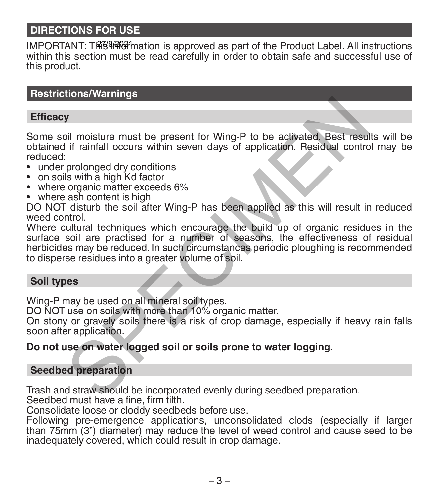# **DIRECTIONS FOR USE**

IMPORTANT: T腳倒網61 mation is approved as part of the Product Label. All instructions within this section must be read carefully in order to obtain safe and successful use of this product.

#### **Restrictions/Warnings**

#### **Efficacy**

Some soil moisture must be present for Wing-P to be activated. Best results will be obtained if rainfall occurs within seven days of application. Residual control may be reduced:

- under prolonged dry conditions<br>• on soils with a high Kd factor
- 
- where organic matter exceeds 6% where ash content is high
- 

DO NOT disturb the soil after Wing-P has been applied as this will result in reduced weed control.

Where cultural techniques which encourage the build up of organic residues in the surface soil are practised for a number of seasons, the effectiveness of residual herbicides may be reduced. In such circumstances periodic ploughing is recommended to disperse residues into a greater volume of soil. **Solution**<br>
Solution in the present for Wing-P to be activated. Best result<br>
if rainfall occurs within seven days of application. Residual contraction<br>
Is with a high Kd factor<br>
organic matter exceeds 6%<br>
ash content is hi

#### **Soil types**

Wing-P may be used on all mineral soil types.

DO NOT use on soils with more than 10% organic matter.

On stony or gravely soils there is a risk of crop damage, especially if heavy rain falls soon after application.

#### **Do not use on water logged soil or soils prone to water logging.**

#### **Seedbed preparation**

Trash and straw should be incorporated evenly during seedbed preparation.

Seedbed must have a fine, firm tilth.

Consolidate loose or cloddy seedbeds before use.

Following pre-emergence applications, unconsolidated clods (especially if larger than 75mm (3") diameter) may reduce the level of weed control and cause seed to be inadequately covered, which could result in crop damage.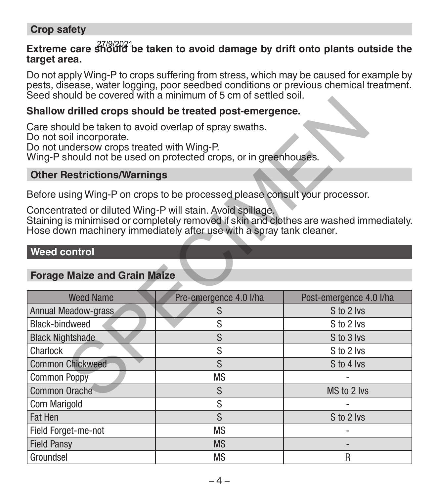#### **Crop safety**

# Extreme care  $\frac{27}{9}/2021$  be taken to avoid damage by drift onto plants outside the **target area.**

Do not apply Wing-P to crops suffering from stress, which may be caused for example by pests, disease, water logging, poor seedbed conditions or previous chemical treatment. Seed should be covered with a minimum of 5 cm of settled soil.

#### **Shallow drilled crops should be treated post-emergence.**

#### **Other Restrictions/Warnings**

#### **Weed control**

|                                                                                                                                  | acca anoma de covereu with a millimium or a chi or actileu aoil.                                                                                                                                                                               |                         |  |  |
|----------------------------------------------------------------------------------------------------------------------------------|------------------------------------------------------------------------------------------------------------------------------------------------------------------------------------------------------------------------------------------------|-------------------------|--|--|
| Shallow drilled crops should be treated post-emergence.                                                                          |                                                                                                                                                                                                                                                |                         |  |  |
| Care should be taken to avoid overlap of spray swaths.<br>Do not soil incorporate.<br>Do not undersow crops treated with Wing-P. | Wing-P should not be used on protected crops, or in greenhouses.                                                                                                                                                                               |                         |  |  |
| <b>Other Restrictions/Warnings</b>                                                                                               |                                                                                                                                                                                                                                                |                         |  |  |
| Concentrated or diluted Wing-P will stain. Avoid spillage.                                                                       | Before using Wing-P on crops to be processed please consult your processor.<br>Staining is minimised or completely removed if skin and clothes are washed immediately.<br>Hose down machinery immediately after use with a spray tank cleaner. |                         |  |  |
| Weed control                                                                                                                     |                                                                                                                                                                                                                                                |                         |  |  |
| <b>Forage Maize and Grain Maize</b>                                                                                              |                                                                                                                                                                                                                                                |                         |  |  |
| <b>Weed Name</b>                                                                                                                 | Pre-emergence 4.0 I/ha                                                                                                                                                                                                                         | Post-emergence 4.0 I/ha |  |  |
| Annual Meadow-grass                                                                                                              | S                                                                                                                                                                                                                                              | S to 2 lvs              |  |  |
| Black-bindweed                                                                                                                   | S                                                                                                                                                                                                                                              | S to 2 lvs              |  |  |
| <b>Black Nightshade</b>                                                                                                          | S                                                                                                                                                                                                                                              | S to 3 lvs              |  |  |
| Charlock                                                                                                                         | S                                                                                                                                                                                                                                              | S to 2 lvs              |  |  |
| <b>Common Chickweed</b>                                                                                                          | S                                                                                                                                                                                                                                              | S to 4 lvs              |  |  |
| <b>Common Poppy</b>                                                                                                              | <b>MS</b>                                                                                                                                                                                                                                      |                         |  |  |
| Common Orache                                                                                                                    | S                                                                                                                                                                                                                                              | MS to 2 lvs             |  |  |
| <b>Corn Marigold</b>                                                                                                             | S                                                                                                                                                                                                                                              |                         |  |  |
| Fat Hen                                                                                                                          | S                                                                                                                                                                                                                                              | S to 2 lvs              |  |  |
| Field Forget-me-not                                                                                                              | <b>MS</b>                                                                                                                                                                                                                                      |                         |  |  |
| <b>Field Pansv</b>                                                                                                               | <b>MS</b>                                                                                                                                                                                                                                      |                         |  |  |
| Groundsel                                                                                                                        | <b>MS</b>                                                                                                                                                                                                                                      | R                       |  |  |

# **Forage Maize and Grain Maize**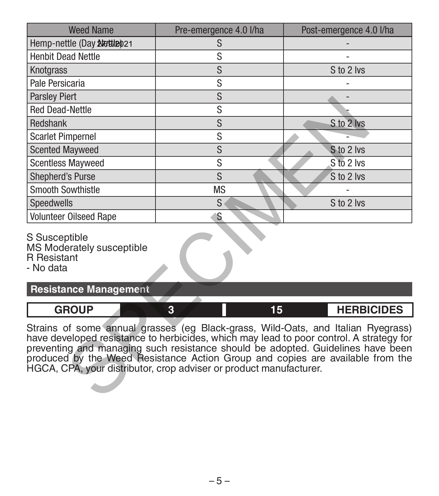| <b>Weed Name</b>                                                                                                                                                                                                                                                                                                                                                                                                       | Pre-emergence 4.0 I/ha | Post-emergence 4.0 I/ha |
|------------------------------------------------------------------------------------------------------------------------------------------------------------------------------------------------------------------------------------------------------------------------------------------------------------------------------------------------------------------------------------------------------------------------|------------------------|-------------------------|
| Hemp-nettle (Day Aletile) 21                                                                                                                                                                                                                                                                                                                                                                                           | S                      |                         |
| <b>Henbit Dead Nettle</b>                                                                                                                                                                                                                                                                                                                                                                                              | S                      |                         |
| Knotgrass                                                                                                                                                                                                                                                                                                                                                                                                              | S                      | S to 2 lvs              |
| Pale Persicaria                                                                                                                                                                                                                                                                                                                                                                                                        | S                      |                         |
| <b>Parsley Piert</b>                                                                                                                                                                                                                                                                                                                                                                                                   | S                      |                         |
| <b>Red Dead-Nettle</b>                                                                                                                                                                                                                                                                                                                                                                                                 | S                      |                         |
| Redshank                                                                                                                                                                                                                                                                                                                                                                                                               | S                      | S to 2 lvs              |
| <b>Scarlet Pimpernel</b>                                                                                                                                                                                                                                                                                                                                                                                               | S                      |                         |
| <b>Scented Mayweed</b>                                                                                                                                                                                                                                                                                                                                                                                                 | S                      | S to 2 lvs              |
| <b>Scentless Mayweed</b>                                                                                                                                                                                                                                                                                                                                                                                               | S                      | S to 2 lvs              |
| <b>Shepherd's Purse</b>                                                                                                                                                                                                                                                                                                                                                                                                | S                      | S to 2 lvs              |
| <b>Smooth Sowthistle</b>                                                                                                                                                                                                                                                                                                                                                                                               | <b>MS</b>              |                         |
| Speedwells                                                                                                                                                                                                                                                                                                                                                                                                             | S                      | S to 2 lvs              |
| <b>Volunteer Oilseed Rape</b>                                                                                                                                                                                                                                                                                                                                                                                          | S                      |                         |
| S Susceptible<br>MS Moderately susceptible<br><b>R</b> Resistant<br>- No data                                                                                                                                                                                                                                                                                                                                          |                        |                         |
| <b>Resistance Management</b>                                                                                                                                                                                                                                                                                                                                                                                           |                        |                         |
| <b>GROUP</b>                                                                                                                                                                                                                                                                                                                                                                                                           | 15<br>3                | <b>HERBICIDES</b>       |
| Strains of some annual grasses (eg Black-grass, Wild-Oats, and Italian Ryegrass)<br>have developed resistance to herbicides, which may lead to poor control. A strategy for<br>preventing and managing such resistance should be adopted. Guidelines have been<br>produced by the Weed Resistance Action Group and copies are available from the<br>HGCA, CPA, your distributor, crop adviser or product manufacturer. |                        |                         |

| <b>GROUP</b> | 15 | <b>HERBICIDES</b> |
|--------------|----|-------------------|
|              |    |                   |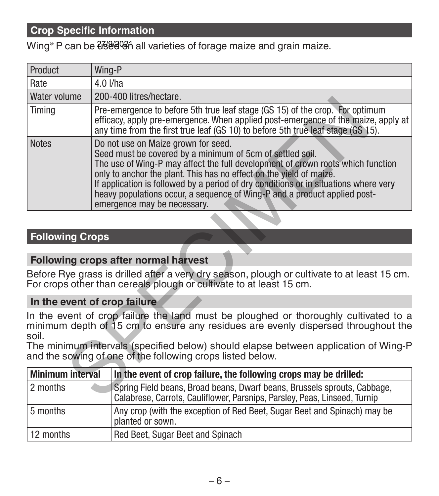## **Crop Specific Information**

Wing® P can be <del>U</del>s 2003 all varieties of forage maize and grain maize.

| Product                 | Wing-P                                                                                                                                                                                                                                                                                                                                                                                                                                                         |
|-------------------------|----------------------------------------------------------------------------------------------------------------------------------------------------------------------------------------------------------------------------------------------------------------------------------------------------------------------------------------------------------------------------------------------------------------------------------------------------------------|
| Rate                    | $4.0$ I/ha                                                                                                                                                                                                                                                                                                                                                                                                                                                     |
| Water volume            | 200-400 litres/hectare.                                                                                                                                                                                                                                                                                                                                                                                                                                        |
| Timing                  | Pre-emergence to before 5th true leaf stage (GS 15) of the crop. For optimum<br>efficacy, apply pre-emergence. When applied post-emergence of the maize, apply at<br>any time from the first true leaf (GS 10) to before 5th true leaf stage (GS 15).                                                                                                                                                                                                          |
| <b>Notes</b>            | Do not use on Maize grown for seed.<br>Seed must be covered by a minimum of 5cm of settled soil.<br>The use of Wing-P may affect the full development of crown roots which function<br>only to anchor the plant. This has no effect on the yield of maize.<br>If application is followed by a period of dry conditions or in situations where very<br>heavy populations occur, a sequence of Wing-P and a product applied post-<br>emergence may be necessary. |
|                         |                                                                                                                                                                                                                                                                                                                                                                                                                                                                |
| <b>Following Crops</b>  |                                                                                                                                                                                                                                                                                                                                                                                                                                                                |
|                         | Following crops after normal harvest                                                                                                                                                                                                                                                                                                                                                                                                                           |
|                         | Before Rye grass is drilled after a very dry season, plough or cultivate to at least 15 cm.<br>For crops other than cereals plough or cultivate to at least 15 cm.                                                                                                                                                                                                                                                                                             |
|                         | In the event of crop failure                                                                                                                                                                                                                                                                                                                                                                                                                                   |
| soil.                   | In the event of crop failure the land must be ploughed or thoroughly cultivated to a<br>minimum depth of 15 cm to ensure any residues are evenly dispersed throughout the                                                                                                                                                                                                                                                                                      |
|                         | The minimum intervals (specified below) should elapse between application of Wing-P<br>and the sowing of one of the following crops listed below.                                                                                                                                                                                                                                                                                                              |
| <b>Minimum interval</b> | In the event of crop failure, the following crops may be drilled:                                                                                                                                                                                                                                                                                                                                                                                              |
| 2 months                | Spring Field beans, Broad beans, Dwarf beans, Brussels sprouts, Cabbage,<br>Calabrese, Carrots, Cauliflower, Parsnips, Parsley, Peas, Linseed, Turnip                                                                                                                                                                                                                                                                                                          |

#### **Following Crops**

#### **Following crops after normal harvest**

#### **In the event of crop failure**

| Minimum interval | In the event of crop failure, the following crops may be drilled:                                                                                     |
|------------------|-------------------------------------------------------------------------------------------------------------------------------------------------------|
| 2 months         | Spring Field beans, Broad beans, Dwarf beans, Brussels sprouts, Cabbage,<br>Calabrese, Carrots, Cauliflower, Parsnips, Parsley, Peas, Linseed, Turnip |
| 5 months         | Any crop (with the exception of Red Beet, Sugar Beet and Spinach) may be<br>planted or sown.                                                          |
| 12 months        | Red Beet, Sugar Beet and Spinach                                                                                                                      |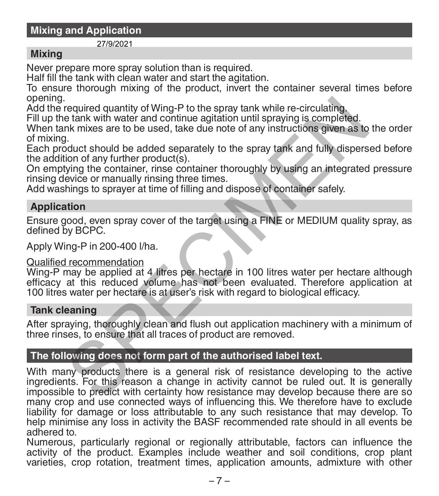### **Mixing and Application**

#### 27/9/2021

#### **Mixing**

Never prepare more spray solution than is required.

Half fill the tank with clean water and start the agitation.

To ensure thorough mixing of the product, invert the container several times before opening.

Add the required quantity of Wing-P to the spray tank while re-circulating.

Fill up the tank with water and continue agitation until spraying is completed.

When tank mixes are to be used, take due note of any instructions given as to the order of mixing.

Each product should be added separately to the spray tank and fully dispersed before the addition of any further product(s).

On emptying the container, rinse container thoroughly by using an integrated pressure rinsing device or manually rinsing three times.

Add washings to sprayer at time of filling and dispose of container safely.

#### **Application**

Ensure good, even spray cover of the target using a FINE or MEDIUM quality spray, as defined by BCPC.

Apply Wing-P in 200-400 l/ha.

#### Qualified recommendation

Wing-P may be applied at 4 litres per hectare in 100 litres water per hectare although efficacy at this reduced volume has not been evaluated. Therefore application at 100 litres water per hectare is at user's risk with regard to biological efficacy.

#### **Tank cleaning**

After spraying, thoroughly clean and flush out application machinery with a minimum of three rinses, to ensure that all traces of product are removed.

#### **The following does not form part of the authorised label text.**

With many products there is a general risk of resistance developing to the active ingredients. For this reason a change in activity cannot be ruled out. It is generally impossible to predict with certainty how resistance may develop because there are so many crop and use connected ways of influencing this. We therefore have to exclude liability for damage or loss attributable to any such resistance that may develop. To help minimise any loss in activity the BASF recommended rate should in all events be adhered to. required quantity of Wing-P to the spray tank while re-circulating.<br>
The tank with water and continue agitation until spraying is completed.<br>
It is mixes are to be used, take due note of any instructions given as to<br>
It,<br>

Numerous, particularly regional or regionally attributable, factors can influence the activity of the product. Examples include weather and soil conditions, crop plant varieties, crop rotation, treatment times, application amounts, admixture with other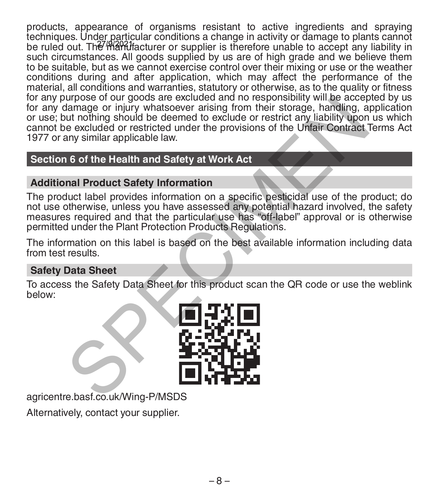products, appearance of organisms resistant to active ingredients and spraying techniques. Under particular conditions a change in activity or damage to plants cannot be ruled out. The *Hamahacturer* or supplier is therefore unable to accept any liability in such circumstances. All goods supplied by us are of high grade and we believe them to be suitable, but as we cannot exercise control over their mixing or use or the weather conditions during and after application, which may affect the performance of the material, all conditions and warranties, statutory or otherwise, as to the quality or fitness for any purpose of our goods are excluded and no responsibility will be accepted by us for any damage or injury whatsoever arising from their storage, handling, application or use; but nothing should be deemed to exclude or restrict any liability upon us which cannot be excluded or restricted under the provisions of the Unfair Contract Terms Act 1977 or any similar applicable law. Through the excluded and the strength and the sponsorium will be accelerated and the school of restricted under the provisions of the Unfair Contract<br>the excluded or restricted under the provisions of the Unfair Contract<br>a

# **Section 6 of the Health and Safety at Work Act**

# **Additional Product Safety Information**

The product label provides information on a specific pesticidal use of the product; do not use otherwise, unless you have assessed any potential hazard involved, the safety measures required and that the particular use has "off-label" approval or is otherwise permitted under the Plant Protection Products Regulations.

The information on this label is based on the best available information including data from test results.

# **Safety Data Sheet**

To access the Safety Data Sheet for this product scan the QR code or use the weblink below:



agricentre.basf.co.uk/Wing-P/MSDS

Alternatively, contact your supplier.